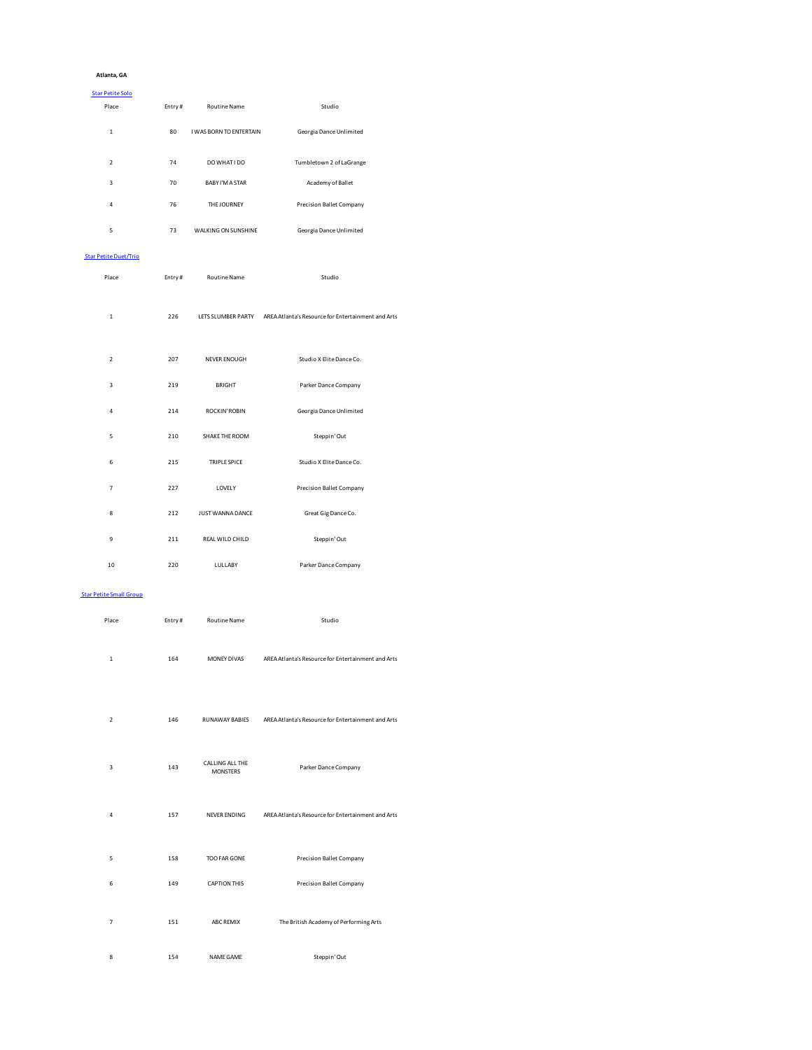### **Atlanta, GA**

### Star Petite Solo

| Place                   | Entry# | <b>Routine Name</b>            | Studio                   |
|-------------------------|--------|--------------------------------|--------------------------|
| $\mathbf{1}$            | 80     | <b>I WAS BORN TO ENTERTAIN</b> | Georgia Dance Unlimited  |
| $\overline{2}$          | 74     | DO WHAT I DO                   | Tumbletown 2 of LaGrange |
| $\overline{\mathbf{3}}$ | 70     | <b>BABY I'M A STAR</b>         | Academy of Ballet        |
| 4                       | 76     | THE JOURNEY                    | Precision Ballet Company |
| 5                       | 73     | <b>WALKING ON SUNSHINE</b>     | Georgia Dance Unlimited  |

### Star Petite Duet/Trio

| Place          | Entry# | <b>Routine Name</b> | Studio                                                                |
|----------------|--------|---------------------|-----------------------------------------------------------------------|
| $\mathbf{1}$   | 226    |                     | LETS SLUMBER PARTY AREA Atlanta's Resource for Entertainment and Arts |
| $\overline{2}$ | 207    | NEVER ENOUGH        | Studio X Elite Dance Co.                                              |
| $\overline{3}$ | 219    | <b>BRIGHT</b>       | Parker Dance Company                                                  |
| $\overline{4}$ | 214    | ROCKIN' ROBIN       | Georgia Dance Unlimited                                               |
| 5              | 210    | SHAKE THE ROOM      | Steppin' Out                                                          |
| 6              | 215    | TRIPLE SPICE        | Studio X Elite Dance Co.                                              |
| $\overline{7}$ | 227    | LOVELY              | Precision Ballet Company                                              |
| 8              | 212    | JUST WANNA DANCE    | Great Gig Dance Co.                                                   |
| 9              | 211    | REAL WILD CHILD     | Steppin' Out                                                          |
| 10             | 220    | LULLABY             | Parker Dance Company                                                  |

### Star Petite Small Group

| Place          | Entry# | <b>Routine Name</b>                | Studio                                             |
|----------------|--------|------------------------------------|----------------------------------------------------|
| $\mathbf{1}$   | 164    | MONEY DIVAS                        | AREA Atlanta's Resource for Entertainment and Arts |
| $\overline{2}$ | 146    | RUNAWAY BABIES                     | AREA Atlanta's Resource for Entertainment and Arts |
| 3              | 143    | CALLING ALL THE<br><b>MONSTERS</b> | Parker Dance Company                               |
| 4              | 157    | <b>NEVER ENDING</b>                | AREA Atlanta's Resource for Entertainment and Arts |
| 5              | 158    | TOO FAR GONE                       | <b>Precision Ballet Company</b>                    |
| 6              | 149    | <b>CAPTION THIS</b>                | Precision Ballet Company                           |
| $\overline{7}$ | 151    | <b>ABC REMIX</b>                   | The British Academy of Performing Arts             |
| 8              | 154    | NAME GAME                          | Steppin' Out                                       |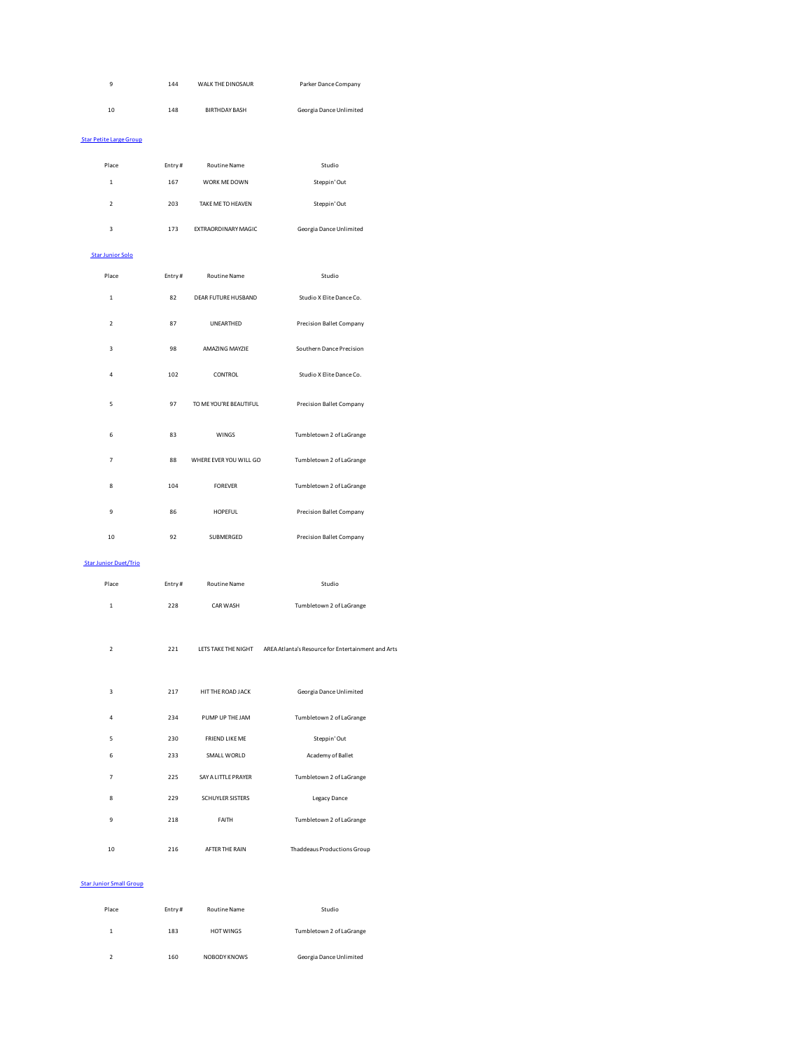| 9                              | 144    | WALK THE DINOSAUR      | Parker Dance Company                               |
|--------------------------------|--------|------------------------|----------------------------------------------------|
| 10                             | 148    | <b>BIRTHDAY BASH</b>   | Georgia Dance Unlimited                            |
| <b>Star Petite Large Group</b> |        |                        |                                                    |
|                                |        |                        |                                                    |
| Place                          | Entry# | Routine Name           | Studio                                             |
| $\mathbf 1$                    | 167    | WORK ME DOWN           | Steppin' Out                                       |
| $\mathbf 2$                    | 203    | TAKE ME TO HEAVEN      | Steppin' Out                                       |
| 3                              | 173    | EXTRAORDINARY MAGIC    | Georgia Dance Unlimited                            |
| <b>Star Junior Solo</b>        |        |                        |                                                    |
| Place                          | Entry# | Routine Name           | Studio                                             |
| $\mathbf 1$                    | 82     | DEAR FUTURE HUSBAND    | Studio X Elite Dance Co.                           |
| $\overline{\mathbf{2}}$        | 87     | UNEARTHED              | <b>Precision Ballet Company</b>                    |
| 3                              | 98     | AMAZING MAYZIE         | Southern Dance Precision                           |
| 4                              | 102    | CONTROL                | Studio X Elite Dance Co.                           |
| 5                              | 97     | TO ME YOU'RE BEAUTIFUL | <b>Precision Ballet Company</b>                    |
| 6                              | 83     | WINGS                  | Tumbletown 2 of LaGrange                           |
| $\overline{7}$                 | 88     | WHERE EVER YOU WILL GO | Tumbletown 2 of LaGrange                           |
| 8                              | 104    | <b>FOREVER</b>         | Tumbletown 2 of LaGrange                           |
| 9                              | 86     | HOPEFUL                | Precision Ballet Company                           |
| 10                             | 92     | SUBMERGED              | <b>Precision Ballet Company</b>                    |
| <b>Star Junior Duet/Trio</b>   |        |                        |                                                    |
| Place                          | Entry# | <b>Routine Name</b>    | Studio                                             |
| $\mathbf 1$                    | 228    | CAR WASH               | Tumbletown 2 of LaGrange                           |
| $\mathbf 2$                    | 221    | LETS TAKE THE NIGHT    | AREA Atlanta's Resource for Entertainment and Arts |
| 3                              | 217    | HIT THE ROAD JACK      | Georgia Dance Unlimited                            |
| 4                              | 234    | PUMP UP THE JAM        | Tumbletown 2 of LaGrange                           |
| 5                              | 230    | FRIEND LIKE ME         | Steppin' Out                                       |
| 6                              | 233    | SMALL WORLD            | Academy of Ballet                                  |
| $\overline{7}$                 | 225    | SAY A LITTLE PRAYER    | Tumbletown 2 of LaGrange                           |
| 8                              | 229    | SCHUYLER SISTERS       | Legacy Dance                                       |
| 9                              | 218    | FAITH                  | Tumbletown 2 of LaGrange                           |
| 10                             | 216    | AFTER THE RAIN         | Thaddeaus Productions Group                        |

### Star Junior Small Group

| Place | Entry# | <b>Routine Name</b> | Studio                   |
|-------|--------|---------------------|--------------------------|
| 1     | 183    | <b>HOT WINGS</b>    | Tumbletown 2 of LaGrange |
|       | 160    | NOBODY KNOWS        | Georgia Dance Unlimited  |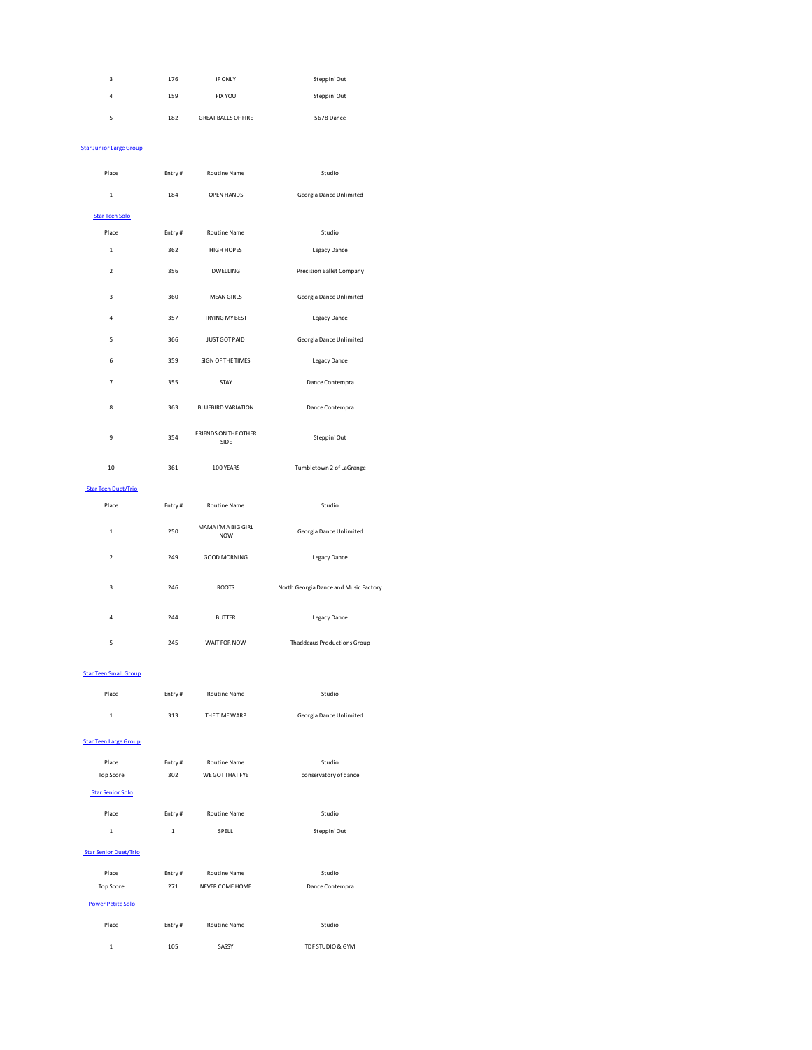| 3 | 176 | IF ONLY                    | Steppin' Out |
|---|-----|----------------------------|--------------|
| 4 | 159 | <b>FIX YOU</b>             | Steppin' Out |
| 5 | 182 | <b>GREAT BALLS OF FIRE</b> | 5678 Dance   |

### Star Junior Large Group

| Place                      | Entry# | <b>Routine Name</b>               | Studio                                |  |
|----------------------------|--------|-----------------------------------|---------------------------------------|--|
| $\mathbf 1$                | 184    | OPEN HANDS                        | Georgia Dance Unlimited               |  |
| <b>Star Teen Solo</b>      |        |                                   |                                       |  |
| Place                      | Entry# | <b>Routine Name</b>               | Studio                                |  |
| $\mathbf{1}$               | 362    | <b>HIGH HOPES</b>                 | Legacy Dance                          |  |
| $\overline{2}$             | 356    | DWELLING                          | <b>Precision Ballet Company</b>       |  |
| 3                          | 360    | <b>MEAN GIRLS</b>                 | Georgia Dance Unlimited               |  |
| 4                          | 357    | TRYING MY BEST                    | Legacy Dance                          |  |
| 5                          | 366    | <b>JUST GOT PAID</b>              | Georgia Dance Unlimited               |  |
| 6                          | 359    | SIGN OF THE TIMES                 | <b>Legacy Dance</b>                   |  |
| $\overline{7}$             | 355    | STAY                              | Dance Contempra                       |  |
| 8                          | 363    | <b>BLUEBIRD VARIATION</b>         | Dance Contempra                       |  |
| 9                          | 354    | FRIENDS ON THE OTHER<br>SIDE      | Steppin' Out                          |  |
| 10                         | 361    | 100 YEARS                         | Tumbletown 2 of LaGrange              |  |
| <b>Star Teen Duet/Trio</b> |        |                                   |                                       |  |
| Place                      | Entry# | <b>Routine Name</b>               | Studio                                |  |
| $\mathbf 1$                | 250    | MAMA I'M A BIG GIRL<br><b>NOW</b> | Georgia Dance Unlimited               |  |
| $\overline{2}$             | 249    | <b>GOOD MORNING</b>               | Legacy Dance                          |  |
| 3                          | 246    | <b>ROOTS</b>                      | North Georgia Dance and Music Factory |  |
| $\overline{4}$             | 244    | <b>BUTTER</b>                     | <b>Legacy Dance</b>                   |  |
| 5                          | 245    | WAIT FOR NOW                      | <b>Thaddeaus Productions Group</b>    |  |

### Star Teen Small Group

| Place                        | Entry# | <b>Routine Name</b> | Studio                  |
|------------------------------|--------|---------------------|-------------------------|
| $\mathbf{1}$                 | 313    | THE TIME WARP       | Georgia Dance Unlimited |
| <b>Star Teen Large Group</b> |        |                     |                         |
| Place                        | Entry# | <b>Routine Name</b> | Studio                  |
| Top Score                    | 302    | WE GOT THAT FYF     | conservatory of dance   |
| <b>Star Senior Solo</b>      |        |                     |                         |

Place Entry # Routine Name **Studio** 

|  | SPELL<br>----- | Steppin' Out |
|--|----------------|--------------|
|  |                |              |
|  |                |              |

| <b>Star Senior Duet/Trio</b> |        |                     |                  |  |
|------------------------------|--------|---------------------|------------------|--|
| Place                        | Entry# | <b>Routine Name</b> | Studio           |  |
| <b>Top Score</b>             | 271    | NEVER COME HOME     | Dance Contempra  |  |
| <b>Power Petite Solo</b>     |        |                     |                  |  |
| Place                        | Entry# | <b>Routine Name</b> | Studio           |  |
| 1                            | 105    | SASSY               | TDF STUDIO & GYM |  |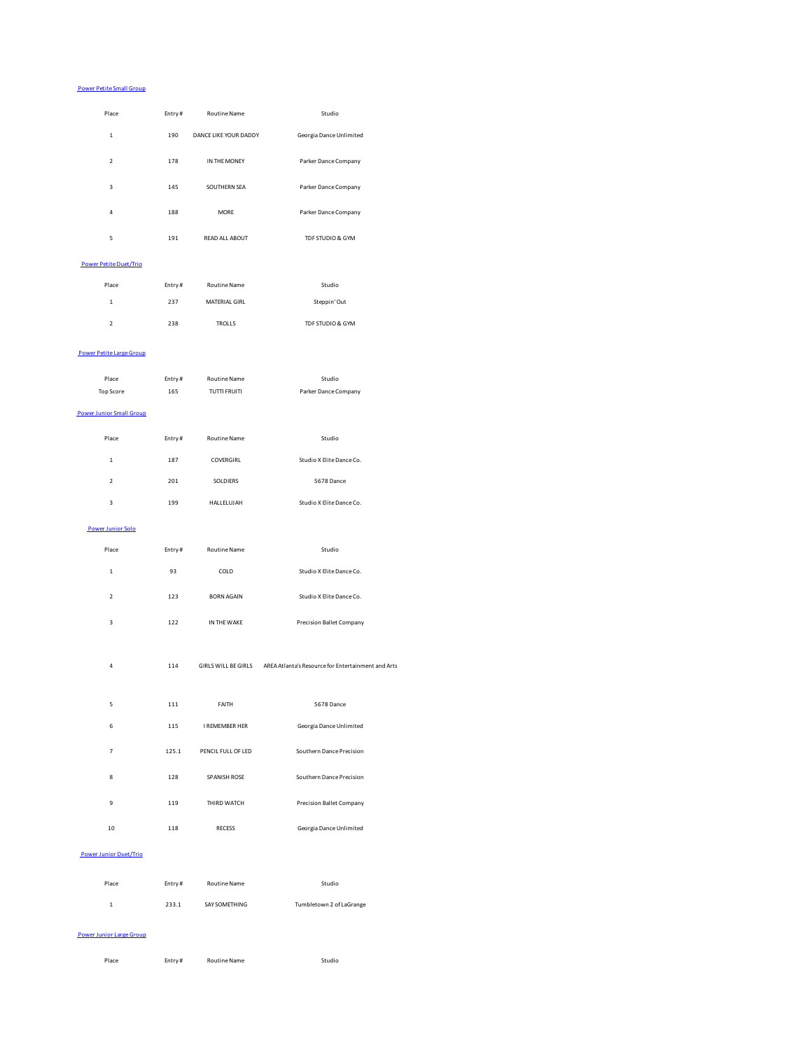### Power Petite Small Group

| Place                         | Entry# | <b>Routine Name</b>   | Studio                  |
|-------------------------------|--------|-----------------------|-------------------------|
| 1                             | 190    | DANCE LIKE YOUR DADDY | Georgia Dance Unlimited |
| $\overline{2}$                | 178    | IN THE MONEY          | Parker Dance Company    |
| $\overline{3}$                | 145    | SOUTHERN SEA          | Parker Dance Company    |
| 4                             | 188    | <b>MORE</b>           | Parker Dance Company    |
| 5                             | 191    | <b>READ ALL ABOUT</b> | TDF STUDIO & GYM        |
| <b>Power Petite Duet/Trio</b> |        |                       |                         |

| Place                    | Entry# | <b>Routine Name</b>  | Studio           |
|--------------------------|--------|----------------------|------------------|
| 1                        | 237    | <b>MATERIAL GIRL</b> | Steppin' Out     |
| $\overline{\phantom{a}}$ | 238    | <b>TROLLS</b>        | TDF STUDIO & GYM |

### Power Petite Large Group

| Place                           | Entry# | <b>Routine Name</b> | Studio                                                                 |
|---------------------------------|--------|---------------------|------------------------------------------------------------------------|
| <b>Top Score</b>                | 165    | <b>TUTTI FRUITI</b> | Parker Dance Company                                                   |
| <b>Power Junior Small Group</b> |        |                     |                                                                        |
| Place                           | Entry# | <b>Routine Name</b> | Studio                                                                 |
| $\mathbf 1$                     | 187    | COVERGIRL           | Studio X Elite Dance Co.                                               |
| $\mathbf 2$                     | 201    | SOLDIERS            | 5678 Dance                                                             |
| 3                               | 199    | HALLELUJAH          | Studio X Elite Dance Co.                                               |
| <b>Power Junior Solo</b>        |        |                     |                                                                        |
| Place                           | Entry# | <b>Routine Name</b> | Studio                                                                 |
| $\mathbf 1$                     | 93     | COLD                | Studio X Elite Dance Co.                                               |
| $\mathbf 2$                     | 123    | <b>BORN AGAIN</b>   | Studio X Elite Dance Co.                                               |
| $\overline{\mathbf{3}}$         | 122    | IN THE WAKE         | <b>Precision Ballet Company</b>                                        |
| $\overline{4}$                  | 114    |                     | GIRLS WILL BE GIRLS AREA Atlanta's Resource for Entertainment and Arts |
| 5                               | 111    | FAITH               | 5678 Dance                                                             |
| 6                               | 115    | I REMEMBER HER      | Georgia Dance Unlimited                                                |
| $\overline{7}$                  | 125.1  | PENCIL FULL OF LED  | Southern Dance Precision                                               |
| 8                               | 128    | SPANISH ROSE        | Southern Dance Precision                                               |
| 9                               | 119    | THIRD WATCH         | <b>Precision Ballet Company</b>                                        |
| 10                              | 118    | <b>RECESS</b>       | Georgia Dance Unlimited                                                |
| <b>Power Junior Duet/Trio</b>   |        |                     |                                                                        |

| Place | Entry# | <b>Routine Name</b> | Studio                   |
|-------|--------|---------------------|--------------------------|
| 1.    | 233.1  | SAY SOMETHING       | Tumbletown 2 of LaGrange |

### Power Junior Large Group

| Place<br>. | Entry# | <b>Routine Name</b> | Studio<br>. |
|------------|--------|---------------------|-------------|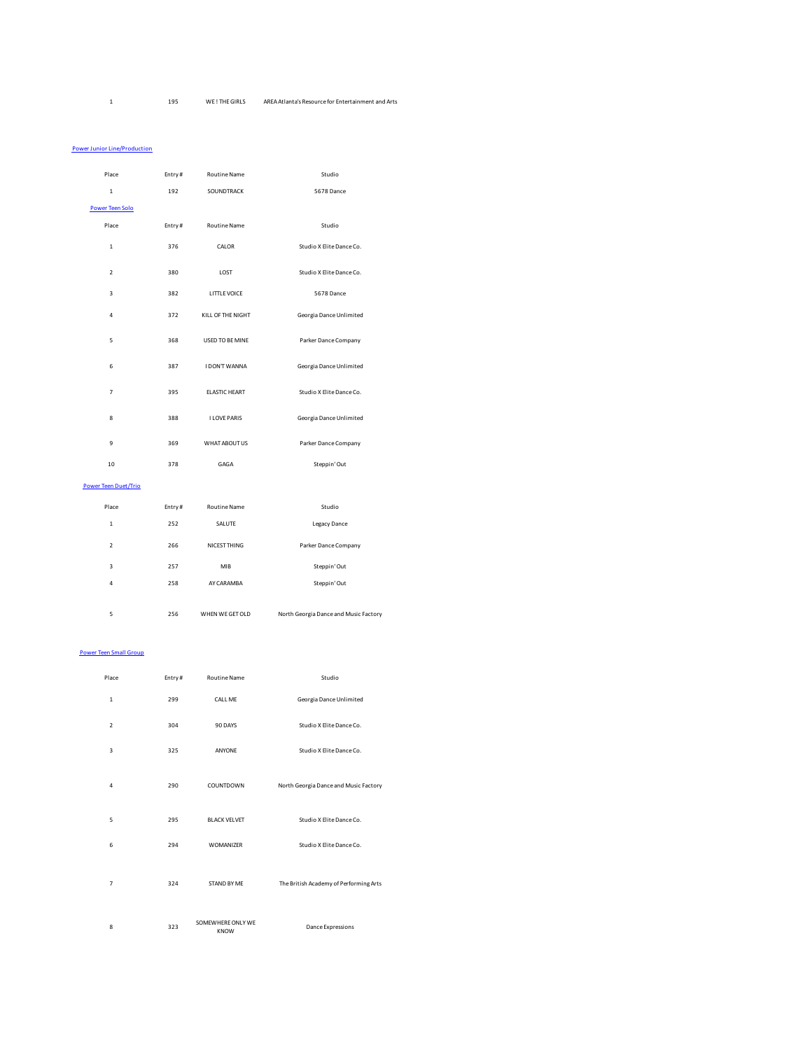### 1 195 WE ! THE GIRLS AREA Atlanta's Resource for Entertainment and Arts

### **Power Junior Line/Production**

| Place                       | Entry# | <b>Routine Name</b>  | Studio                                |
|-----------------------------|--------|----------------------|---------------------------------------|
| $\mathbf{1}$                | 192    | SOUNDTRACK           | 5678 Dance                            |
| Power Teen Solo             |        |                      |                                       |
| Place                       | Entry# | <b>Routine Name</b>  | Studio                                |
| $\mathbf{1}$                | 376    | CALOR                | Studio X Elite Dance Co.              |
| $\overline{\phantom{a}}$    | 380    | LOST                 | Studio X Elite Dance Co.              |
| 3                           | 382    | LITTLE VOICE         | 5678 Dance                            |
| 4                           | 372    | KILL OF THE NIGHT    | Georgia Dance Unlimited               |
| 5                           | 368    | USED TO BE MINE      | Parker Dance Company                  |
| 6                           | 387    | I DON'T WANNA        | Georgia Dance Unlimited               |
| $\overline{7}$              | 395    | <b>ELASTIC HEART</b> | Studio X Elite Dance Co.              |
| 8                           | 388    | <b>I LOVE PARIS</b>  | Georgia Dance Unlimited               |
| 9                           | 369    | WHAT ABOUT US        | Parker Dance Company                  |
| 10                          | 378    | GAGA                 | Steppin' Out                          |
| <b>Power Teen Duet/Trio</b> |        |                      |                                       |
| Place                       | Entry# | Routine Name         | Studio                                |
| $\mathbf{1}$                | 252    | SALUTE               | <b>Legacy Dance</b>                   |
| $\overline{2}$              | 266    | NICEST THING         | Parker Dance Company                  |
| $\overline{3}$              | 257    | MIB                  | Steppin' Out                          |
| 4                           | 258    | AY CARAMBA           | Steppin' Out                          |
| 5                           | 256    | WHEN WE GET OLD      | North Georgia Dance and Music Factory |

### Power Teen Small Group

| Place          | Entry# | <b>Routine Name</b>              | Studio                                 |
|----------------|--------|----------------------------------|----------------------------------------|
| $\mathbf{1}$   | 299    | CALL ME                          | Georgia Dance Unlimited                |
| $\overline{2}$ | 304    | 90 DAYS                          | Studio X Elite Dance Co.               |
| $\overline{3}$ | 325    | ANYONE                           | Studio X Elite Dance Co.               |
| $\overline{4}$ | 290    | COUNTDOWN                        | North Georgia Dance and Music Factory  |
| 5              | 295    | <b>BLACK VELVET</b>              | Studio X Elite Dance Co.               |
| 6              | 294    | WOMANIZER                        | Studio X Elite Dance Co.               |
| $\overline{7}$ | 324    | STAND BY ME                      | The British Academy of Performing Arts |
| 8              | 323    | SOMEWHERE ONLY WE<br><b>KNOW</b> | <b>Dance Expressions</b>               |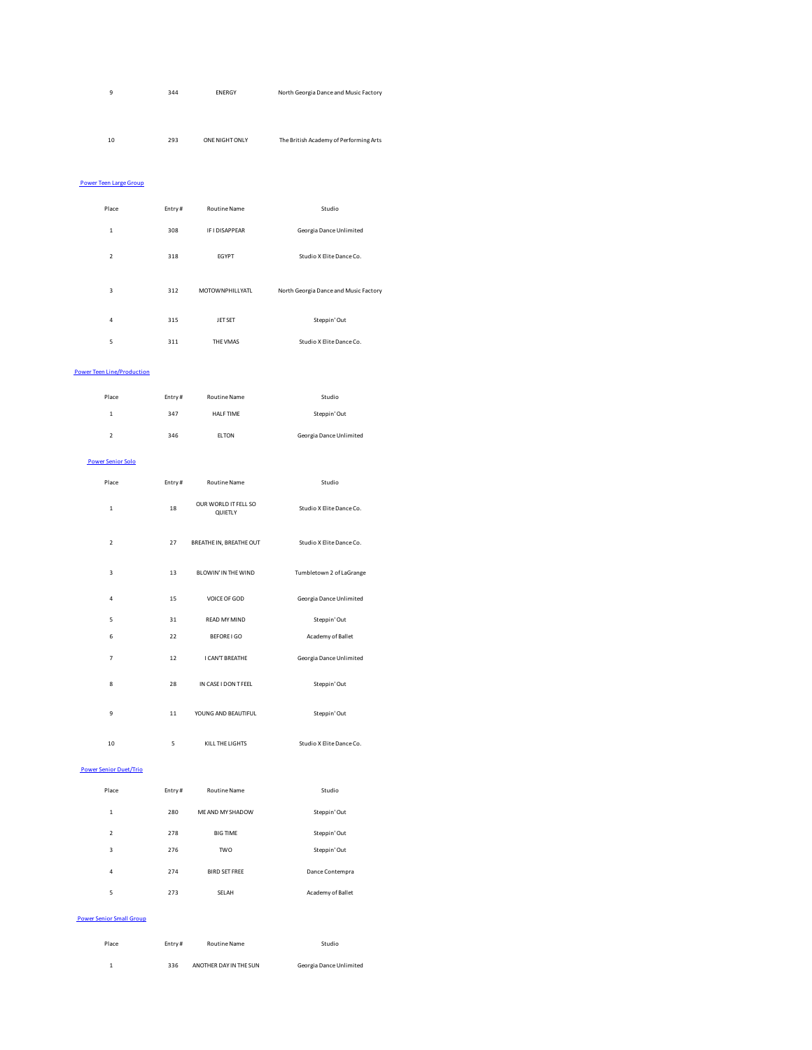| 9 | 344 | <b>ENERGY</b> | North Georgia Dance and Music Factory |
|---|-----|---------------|---------------------------------------|
|   |     |               |                                       |
|   |     |               |                                       |
|   |     |               |                                       |

10 293 ONE NIGHT ONLY The British Academy of Performing Arts

### Power Teen Large Group

| Place                   | Entry# | <b>Routine Name</b>    | Studio                                |
|-------------------------|--------|------------------------|---------------------------------------|
| $\mathbf{1}$            | 308    | <b>IF I DISAPPFAR</b>  | Georgia Dance Unlimited               |
| $\overline{2}$          | 318    | <b>EGYPT</b>           | Studio X Elite Dance Co.              |
| $\overline{\mathbf{3}}$ | 312    | <b>MOTOWNPHILLYATL</b> | North Georgia Dance and Music Factory |
| 4                       | 315    | <b>JET SET</b>         | Steppin' Out                          |
| 5                       | 311    | THE VMAS               | Studio X Elite Dance Co.              |

### Power Teen Line/Production

| Place          | Entry# | <b>Routine Name</b> | Studio                  |
|----------------|--------|---------------------|-------------------------|
| $\mathbf{1}$   | 347    | <b>HALF TIME</b>    | Steppin' Out            |
| $\overline{2}$ | 346    | <b>ELTON</b>        | Georgia Dance Unlimited |

### Power Senior Solo

| Place          | Entry# | <b>Routine Name</b>             | Studio                   |
|----------------|--------|---------------------------------|--------------------------|
| $\mathbf{1}$   | 18     | OUR WORLD IT FELL SO<br>QUIETLY | Studio X Elite Dance Co. |
| $\overline{2}$ | 27     | BREATHE IN, BREATHE OUT         | Studio X Elite Dance Co. |
| $\overline{3}$ | 13     | BLOWIN'IN THE WIND              | Tumbletown 2 of LaGrange |
| $\overline{4}$ | 15     | VOICE OF GOD                    | Georgia Dance Unlimited  |
| 5              | 31     | READ MY MIND                    | Steppin' Out             |
| 6              | 22     | BEFORE I GO                     | Academy of Ballet        |
| $\overline{7}$ | 12     | I CAN'T BREATHE                 | Georgia Dance Unlimited  |
| 8              | 28     | IN CASE I DON T FEEL            | Steppin' Out             |
| 9              | 11     | YOUNG AND BEAUTIFUL             | Steppin' Out             |
| 10             | 5      | KILL THE LIGHTS                 | Studio X Elite Dance Co. |

### Power Senior Duet/Trio

| Place                   | Entry# | <b>Routine Name</b>  | Studio            |
|-------------------------|--------|----------------------|-------------------|
| $\mathbf{1}$            | 280    | ME AND MY SHADOW     | Steppin' Out      |
| $\overline{2}$          | 278    | <b>BIG TIME</b>      | Steppin' Out      |
| $\overline{\mathbf{3}}$ | 276    | <b>TWO</b>           | Steppin' Out      |
| 4                       | 274    | <b>BIRD SFT FRFF</b> | Dance Contempra   |
| 5                       | 273    | SFI AH               | Academy of Ballet |

### Power Senior Small Group

| Place | Entry# | Routine Name           | Studio                  |
|-------|--------|------------------------|-------------------------|
|       | 336    | ANOTHER DAY IN THE SUN | Georgia Dance Unlimited |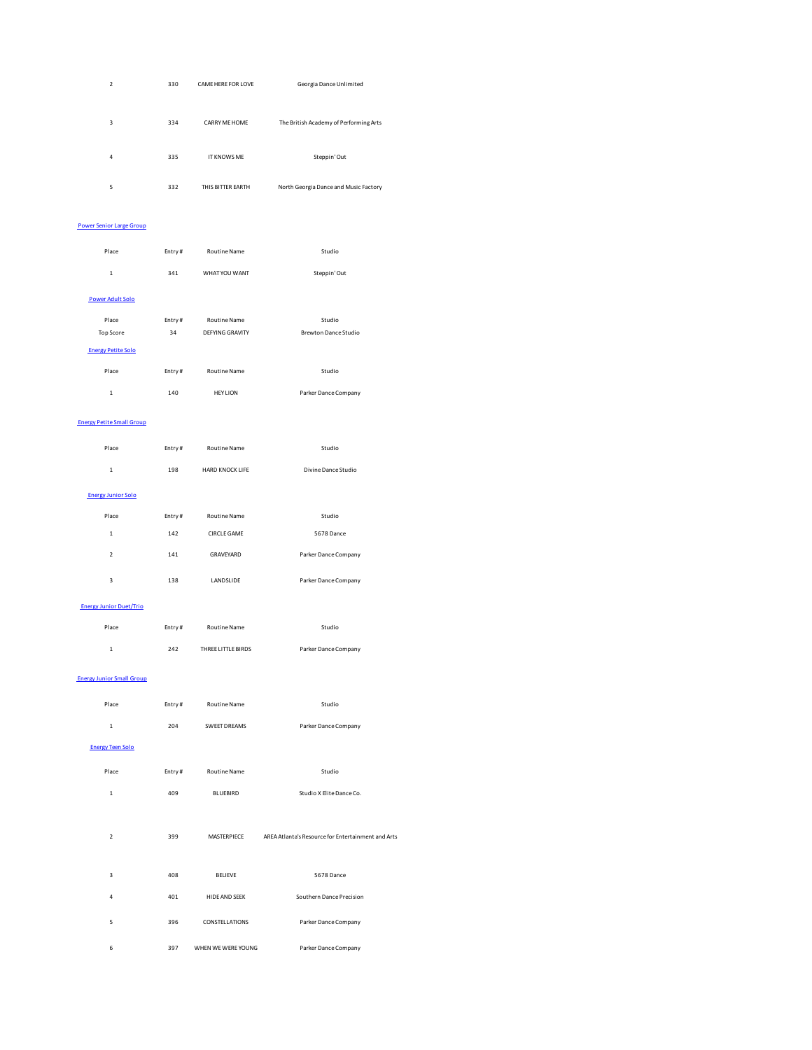| $\overline{2}$ | 330 | CAME HERE FOR LOVE   | Georgia Dance Unlimited                |
|----------------|-----|----------------------|----------------------------------------|
| 3              | 334 | <b>CARRY ME HOME</b> | The British Academy of Performing Arts |
| 4              | 335 | <b>IT KNOWS ME</b>   | Steppin' Out                           |
| 5              | 332 | THIS BITTER EARTH    | North Georgia Dance and Music Factory  |

### Power Senior Large Group

| Place                     | Entry# | <b>Routine Name</b>    | Studio               |
|---------------------------|--------|------------------------|----------------------|
| $\mathbf{1}$              | 341    | WHAT YOU WANT          | Steppin' Out         |
| <b>Power Adult Solo</b>   |        |                        |                      |
| Place                     | Entry# | <b>Routine Name</b>    | Studio               |
| <b>Top Score</b>          | 34     | <b>DEFYING GRAVITY</b> | Brewton Dance Studio |
| <b>Energy Petite Solo</b> |        |                        |                      |
| Place                     | Entry# | <b>Routine Name</b>    | Studio               |
| 1                         | 140    | <b>HEY LION</b>        | Parker Dance Company |

### Energy Petite Small Group

| Place                     | Entry# | <b>Routine Name</b>    | Studio               |
|---------------------------|--------|------------------------|----------------------|
| $\mathbf{1}$              | 198    | <b>HARD KNOCK LIFE</b> | Divine Dance Studio  |
| <b>Energy Junior Solo</b> |        |                        |                      |
| Place                     | Entry# | <b>Routine Name</b>    | Studio               |
| $\mathbf{1}$              | 142    | CIRCI F GAME           | 5678 Dance           |
| $\overline{2}$            | 141    | GRAVEYARD              | Parker Dance Company |
| 3                         | 138    | LANDSLIDE              | Parker Dance Company |
|                           |        |                        |                      |

### Energy Junior Duet/Trio

| Place | Entry# | <b>Routine Name</b> | Studio               |
|-------|--------|---------------------|----------------------|
| 1     | 242    | THREE LITTLE BIRDS  | Parker Dance Company |

### Energy Junior Small Group

| Place                   | Entry# | <b>Routine Name</b>  | Studio                                             |
|-------------------------|--------|----------------------|----------------------------------------------------|
| $\mathbf{1}$            | 204    | <b>SWEET DREAMS</b>  | Parker Dance Company                               |
| <b>Energy Teen Solo</b> |        |                      |                                                    |
| Place                   | Entry# | <b>Routine Name</b>  | Studio                                             |
| $\mathbf{1}$            | 409    | <b>BLUEBIRD</b>      | Studio X Elite Dance Co.                           |
|                         |        |                      |                                                    |
| $\overline{2}$          | 399    | MASTERPIECE          | AREA Atlanta's Resource for Entertainment and Arts |
|                         |        |                      |                                                    |
| $\overline{\mathbf{3}}$ | 408    | <b>BELIEVE</b>       | 5678 Dance                                         |
| $\overline{4}$          | 401    | <b>HIDE AND SEEK</b> | Southern Dance Precision                           |
| 5                       | 396    | CONSTELLATIONS       | Parker Dance Company                               |
| 6                       | 397    | WHEN WE WERE YOUNG   | Parker Dance Company                               |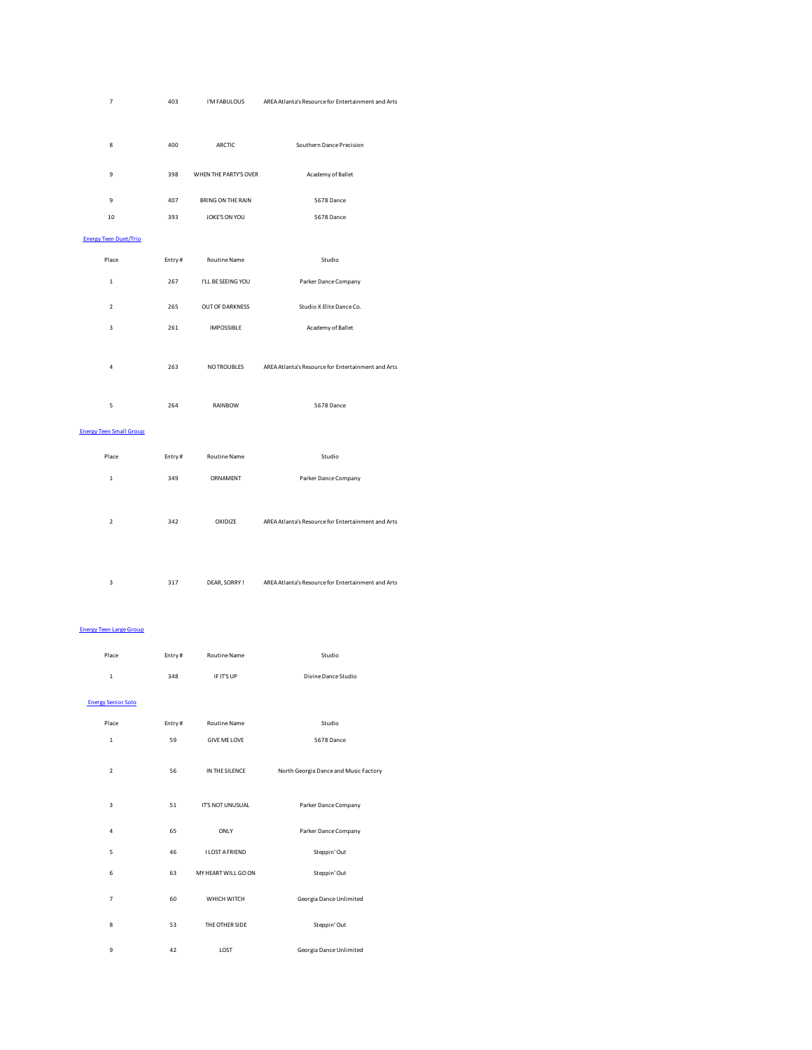| $\overline{7}$                 | 403        | I'M FABULOUS             | AREA Atlanta's Resource for Entertainment and Arts |
|--------------------------------|------------|--------------------------|----------------------------------------------------|
|                                |            |                          |                                                    |
| 8                              | 400        | ARCTIC                   | Southern Dance Precision                           |
|                                |            |                          |                                                    |
| 9                              | 398        | WHEN THE PARTY'S OVER    | Academy of Ballet                                  |
| 9                              |            | <b>BRING ON THE RAIN</b> |                                                    |
| 10                             | 407<br>393 | JOKE'S ON YOU            | 5678 Dance<br>5678 Dance                           |
|                                |            |                          |                                                    |
| <b>Energy Teen Duet/Trio</b>   |            |                          |                                                    |
| Place                          | Entry#     | Routine Name             | Studio                                             |
| $\mathbf 1$                    | 267        | I'LL BE SEEING YOU       | Parker Dance Company                               |
| $\mathbf 2$                    | 265        | OUT OF DARKNESS          | Studio X Elite Dance Co.                           |
| $\overline{\mathbf{3}}$        | 261        | <b>IMPOSSIBLE</b>        | Academy of Ballet                                  |
|                                |            |                          |                                                    |
| 4                              | 263        | NO TROUBLES              | AREA Atlanta's Resource for Entertainment and Arts |
|                                |            |                          |                                                    |
| 5                              | 264        | RAINBOW                  | 5678 Dance                                         |
|                                |            |                          |                                                    |
| <b>Energy Teen Small Group</b> |            |                          |                                                    |
| Place                          | Entry#     | Routine Name             | Studio                                             |
| $\mathbf 1$                    | 349        | ORNAMENT                 | Parker Dance Company                               |
|                                |            |                          |                                                    |
|                                |            |                          |                                                    |
| $\overline{2}$                 | 342        | OXIDIZE                  | AREA Atlanta's Resource for Entertainment and Arts |
|                                |            |                          |                                                    |
|                                |            |                          |                                                    |
| 3                              | 317        | DEAR, SORRY!             | AREA Atlanta's Resource for Entertainment and Arts |
|                                |            |                          |                                                    |
|                                |            |                          |                                                    |
| <b>Energy Teen Large Group</b> |            |                          |                                                    |
| Place                          | Entry#     | Routine Name             | Studio                                             |
| $\mathbf 1$                    | 348        | IF IT'S UP               | Divine Dance Studio                                |
|                                |            |                          |                                                    |

 Energy Senior Solo Place Entry # Routine Name Studio 1 59 GIVE ME LOVE 5678 Dance 2 56 IN THE SILENCE North Georgia Dance and Music Factory 3 51 IT'S NOT UNUSUAL Parker Dance Company 4 65 ONLY Parker Dance Company 5 46 I LOST A FRIEND Steppin' Out 6 63 MY HEART WILL GO ON Steppin' Out 7 60 WHICH WITCH Georgia Dance Unlimited 8 53 THE OTHER SIDE Steppin' Out 9 42 LOST Georgia Dance Unlimited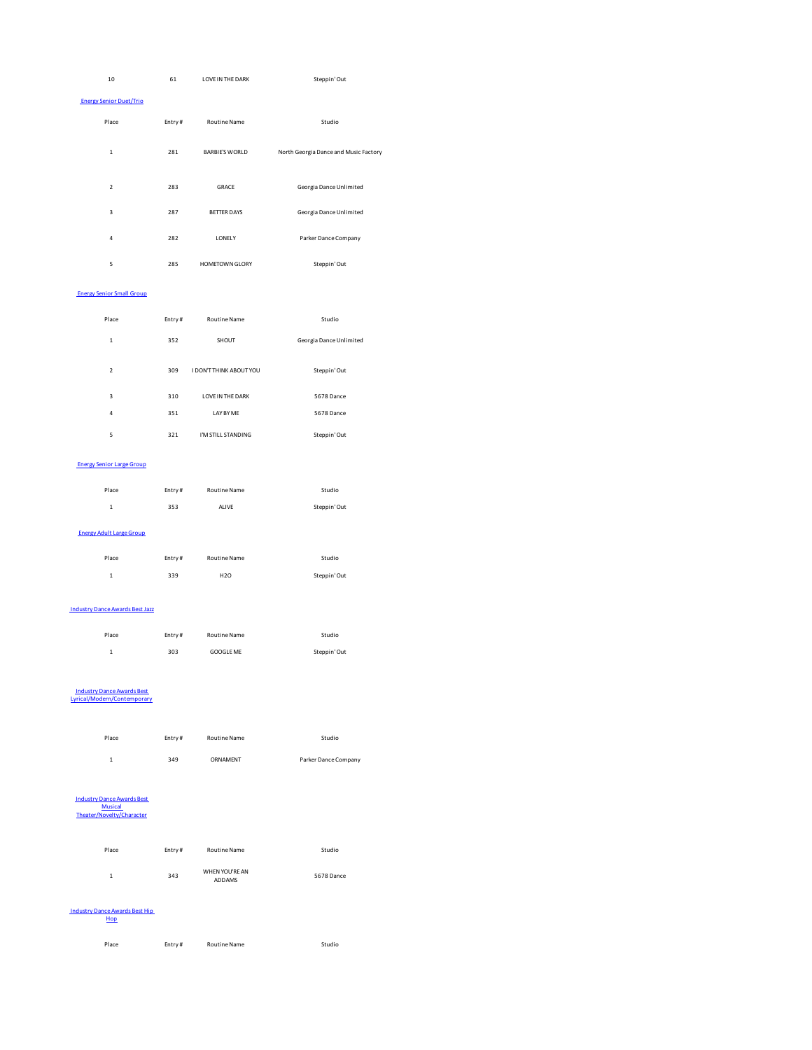| 10                                                               | 61     | <b>LOVE IN THE DARK</b> | Steppin' Out                          |
|------------------------------------------------------------------|--------|-------------------------|---------------------------------------|
| <b>Energy Senior Duet/Trio</b>                                   |        |                         |                                       |
| Place                                                            | Entry# | <b>Routine Name</b>     | Studio                                |
| $\mathbf 1$                                                      | 281    | <b>BARBIE'S WORLD</b>   | North Georgia Dance and Music Factory |
| $\overline{\mathbf{2}}$                                          | 283    | GRACE                   | Georgia Dance Unlimited               |
| 3                                                                | 287    | <b>BETTER DAYS</b>      | Georgia Dance Unlimited               |
| $\overline{a}$                                                   | 282    | LONELY                  | Parker Dance Company                  |
| 5                                                                | 285    | HOMETOWN GLORY          | Steppin' Out                          |
| <b>Energy Senior Small Group</b>                                 |        |                         |                                       |
| Place                                                            | Entry# | Routine Name            | Studio                                |
| $\mathbf 1$                                                      | 352    | SHOUT                   | Georgia Dance Unlimited               |
| $\overline{\mathbf{c}}$                                          | 309    | I DON'T THINK ABOUT YOU | Steppin' Out                          |
| 3                                                                | 310    | LOVE IN THE DARK        | 5678 Dance                            |
| $\overline{a}$                                                   | 351    | LAY BY ME               | 5678 Dance                            |
| 5                                                                | 321    | I'M STILL STANDING      | Steppin' Out                          |
| <b>Energy Senior Large Group</b>                                 |        |                         |                                       |
| Place                                                            | Entry# | Routine Name            | Studio                                |
| 1                                                                | 353    | ALIVE                   | Steppin' Out                          |
| <b>Energy Adult Large Group</b>                                  |        |                         |                                       |
| Place                                                            | Entry# | Routine Name            | Studio                                |
| $\mathbf 1$                                                      | 339    | H <sub>20</sub>         | Steppin' Out                          |
| <b>Industry Dance Awards Best Jazz</b>                           |        |                         |                                       |
| Place                                                            | Entry# | Routine Name            | Studio                                |
| $\mathbf{1}$                                                     | 303    | GOOGLE ME               | Steppin' Out                          |
| <b>Industry Dance Awards Best</b><br>Lyrical/Modern/Contemporary |        |                         |                                       |
| Place                                                            | Entry# | Routine Name            | Studio                                |
| $\mathbf 1$                                                      | 349    | ORNAMENT                | Parker Dance Company                  |

# Industry Dance Awards Best Musical Theater/Novelty/Character

| Theater/Novelty/Character |        |                          |            |
|---------------------------|--------|--------------------------|------------|
| Place                     | Entry# | <b>Routine Name</b>      | Studio     |
| 1                         | 343    | WHEN YOU'RE AN<br>ADDAMS | 5678 Dance |

### Industry Dance Awards Best Hip Hop

Place **Entry #** Routine Name **Rame** Studio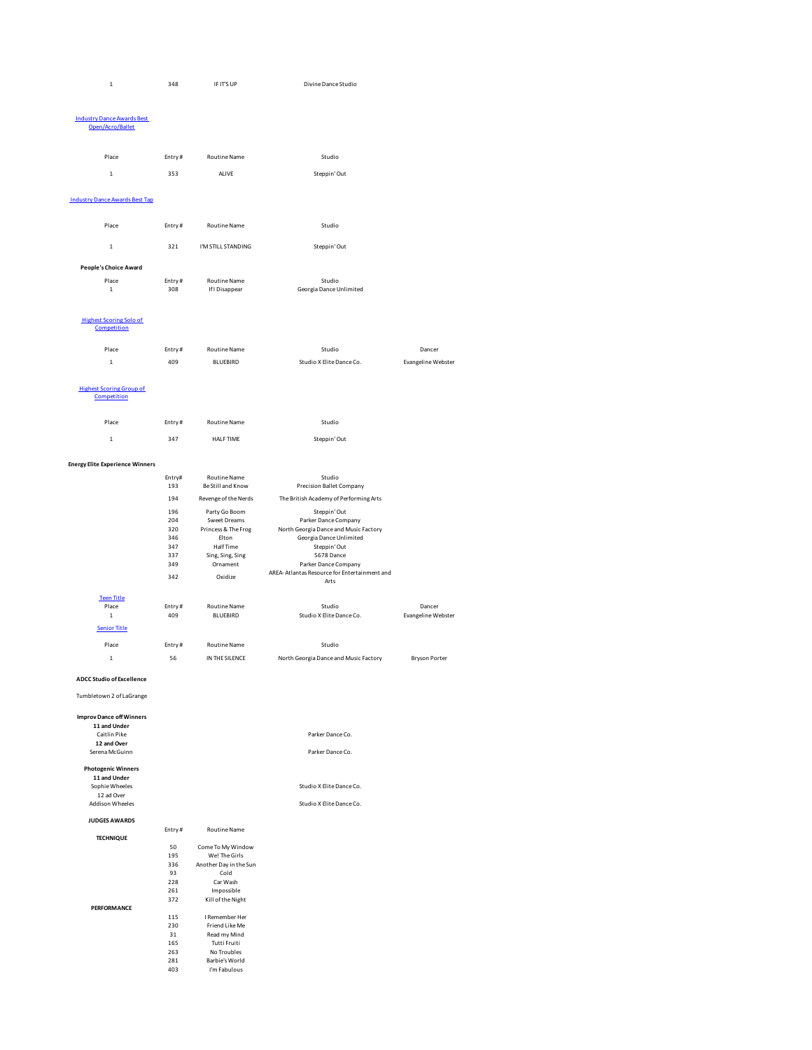| 348 | IF IT'S UP | Divine Dance Studio |
|-----|------------|---------------------|

### Industry Dance Awards Best Open/Acro/Ballet

| Place                                 | Entry# | <b>Routine Name</b> | Studio                  |
|---------------------------------------|--------|---------------------|-------------------------|
| $\mathbf{1}$                          | 353    | ALIVE               | Steppin' Out            |
| <b>Industry Dance Awards Best Tap</b> |        |                     |                         |
| Place                                 | Entry# | <b>Routine Name</b> | Studio                  |
| $\mathbf{1}$                          | 321    | I'M STILL STANDING  | Steppin' Out            |
| People's Choice Award                 |        |                     |                         |
| Place                                 | Entry# | <b>Routine Name</b> | Studio                  |
| $\mathbf{1}$                          | 308    | If I Disappear      | Georgia Dance Unlimited |
|                                       |        |                     |                         |

### Highest Scoring Solo of Competition

| .     |        |                     |                          |                    |
|-------|--------|---------------------|--------------------------|--------------------|
| Place | Entry# | <b>Routine Name</b> | Studio                   | Dancer             |
|       | 409    | <b>BLUEBIRD</b>     | Studio X Elite Dance Co. | Evangeline Webster |

### Highest Scoring Group of Competition

| Place                                  | Entry# | <b>Routine Name</b>  | Studio                                               |                    |
|----------------------------------------|--------|----------------------|------------------------------------------------------|--------------------|
| $\mathbf{1}$                           | 347    | HAI F TIMF           | Steppin' Out                                         |                    |
| <b>Energy Elite Experience Winners</b> |        |                      |                                                      |                    |
|                                        | Entry# | <b>Routine Name</b>  | Studio                                               |                    |
|                                        | 193    | Be Still and Know    | Precision Ballet Company                             |                    |
|                                        | 194    | Revenge of the Nerds | The British Academy of Performing Arts               |                    |
|                                        | 196    | Party Go Boom        | Steppin' Out                                         |                    |
|                                        | 204    | Sweet Dreams         | Parker Dance Company                                 |                    |
|                                        | 320    | Princess & The Frog  | North Georgia Dance and Music Factory                |                    |
|                                        | 346    | Elton                | Georgia Dance Unlimited                              |                    |
|                                        | 347    | HalfTime             | Steppin' Out                                         |                    |
|                                        | 337    | Sing, Sing, Sing     | 5678 Dance                                           |                    |
|                                        | 349    | Ornament             | Parker Dance Company                                 |                    |
|                                        | 342    | Oxidize              | AREA-Atlantas Resource for Entertainment and<br>Arts |                    |
| <b>Teen Title</b>                      |        |                      |                                                      |                    |
| Place                                  | Entry# | <b>Routine Name</b>  | Studio                                               | Dancer             |
| $\mathbf{1}$                           | 409    | <b>BLUEBIRD</b>      | Studio X Elite Dance Co.                             | Evangeline Webster |
| <b>Senior Title</b>                    |        |                      |                                                      |                    |

1 56 IN THE SILENCE North Georgia Dance and Music Factory Bryson Porter

### **ADCC Studio of Excellence**

## Tumbletown 2 of LaGrange **Improv Dance off Winners 11 and Under**

**TECHNIQUE**

**PERFORMANCE**

| Caitlin Pike              |  |
|---------------------------|--|
| 12 and Over               |  |
| Serena McGuinn            |  |
|                           |  |
| <b>Photogenic Winners</b> |  |
| 11 and Under              |  |
| Sophie Wheeles            |  |
| 12 ad Over                |  |
| <b>Addison Wheeles</b>    |  |
|                           |  |
| <b>JUDGES AWARDS</b>      |  |

# 115 I Remember Her 230 Friend Like Me 31 Read my Mind 165 Tutti Fruiti 263 No Troubles

Studio X Elite Dance Co. Studio X Elite Dance Co.

Parker Dance Co.

Parker Dance Co.

| Entry# | <b>Routine Name</b>    |  |  |
|--------|------------------------|--|--|
| 50     | Come To My Window      |  |  |
| 195    | Wel The Girls          |  |  |
| 336    | Another Day in the Sun |  |  |
| 93     | Cold                   |  |  |
| 228    | Car Wash               |  |  |
| 261    | Impossible             |  |  |
| 372    | Kill of the Night      |  |  |
|        |                        |  |  |
| 115    | I Remember Her         |  |  |
| 230    | Friend Like Me         |  |  |
| 31     | Read my Mind           |  |  |
| 165    | Tutti Fruiti           |  |  |
| 263    | No Troubles            |  |  |
| 281    | Barbie's World         |  |  |
| 403    | I'm Fabulous           |  |  |

Place **Entry #** Routine Name **Routing Studio**